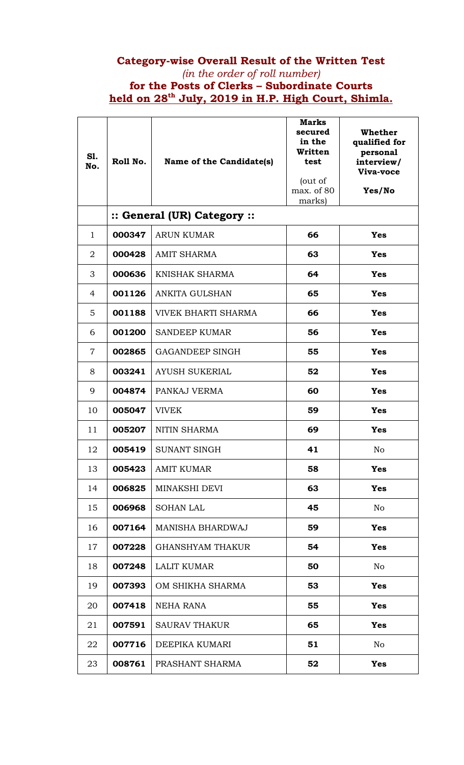## **Category-wise Overall Result of the Written Test**  *(in the order of roll number)*  **for the Posts of Clerks – Subordinate Courts held on 28th July, 2019 in H.P. High Court, Shimla.**

| <b>S1.</b><br>No. | Roll No. | Name of the Candidate(s)    | <b>Marks</b><br>secured<br>in the<br>Written<br>test<br>(out of<br>max. of 80<br>marks) | Whether<br>qualified for<br>personal<br>interview/<br>Viva-voce<br>Yes/No |
|-------------------|----------|-----------------------------|-----------------------------------------------------------------------------------------|---------------------------------------------------------------------------|
|                   |          | :: General (UR) Category :: |                                                                                         |                                                                           |
| $\mathbf{1}$      | 000347   | <b>ARUN KUMAR</b>           | 66                                                                                      | Yes                                                                       |
| $\overline{2}$    | 000428   | <b>AMIT SHARMA</b>          | 63                                                                                      | Yes                                                                       |
| 3                 | 000636   | KNISHAK SHARMA              | 64                                                                                      | Yes                                                                       |
| 4                 | 001126   | <b>ANKITA GULSHAN</b>       | 65                                                                                      | <b>Yes</b>                                                                |
| 5                 | 001188   | <b>VIVEK BHARTI SHARMA</b>  | 66                                                                                      | <b>Yes</b>                                                                |
| 6                 | 001200   | <b>SANDEEP KUMAR</b>        | 56                                                                                      | <b>Yes</b>                                                                |
| $\overline{7}$    | 002865   | <b>GAGANDEEP SINGH</b>      | 55                                                                                      | <b>Yes</b>                                                                |
| 8                 | 003241   | <b>AYUSH SUKERIAL</b>       | 52                                                                                      | <b>Yes</b>                                                                |
| 9                 | 004874   | PANKAJ VERMA                | 60                                                                                      | <b>Yes</b>                                                                |
| 10                | 005047   | <b>VIVEK</b>                | 59                                                                                      | Yes                                                                       |
| 11                | 005207   | NITIN SHARMA                | 69                                                                                      | <b>Yes</b>                                                                |
| 12                | 005419   | <b>SUNANT SINGH</b>         | 41                                                                                      | No                                                                        |
| 13                | 005423   | <b>AMIT KUMAR</b>           | 58                                                                                      | <b>Yes</b>                                                                |
| 14                | 006825   | MINAKSHI DEVI               | 63                                                                                      | <b>Yes</b>                                                                |
| 15                | 006968   | <b>SOHAN LAL</b>            | 45                                                                                      | N <sub>o</sub>                                                            |
| 16                | 007164   | MANISHA BHARDWAJ            | 59                                                                                      | <b>Yes</b>                                                                |
| 17                | 007228   | <b>GHANSHYAM THAKUR</b>     | 54                                                                                      | <b>Yes</b>                                                                |
| 18                | 007248   | <b>LALIT KUMAR</b>          | 50                                                                                      | N <sub>o</sub>                                                            |
| 19                | 007393   | OM SHIKHA SHARMA            | 53                                                                                      | <b>Yes</b>                                                                |
| 20                | 007418   | NEHA RANA                   | 55                                                                                      | <b>Yes</b>                                                                |
| 21                | 007591   | <b>SAURAV THAKUR</b>        | 65                                                                                      | <b>Yes</b>                                                                |
| 22                | 007716   | DEEPIKA KUMARI              | 51                                                                                      | No                                                                        |
| 23                | 008761   | PRASHANT SHARMA             | 52                                                                                      | <b>Yes</b>                                                                |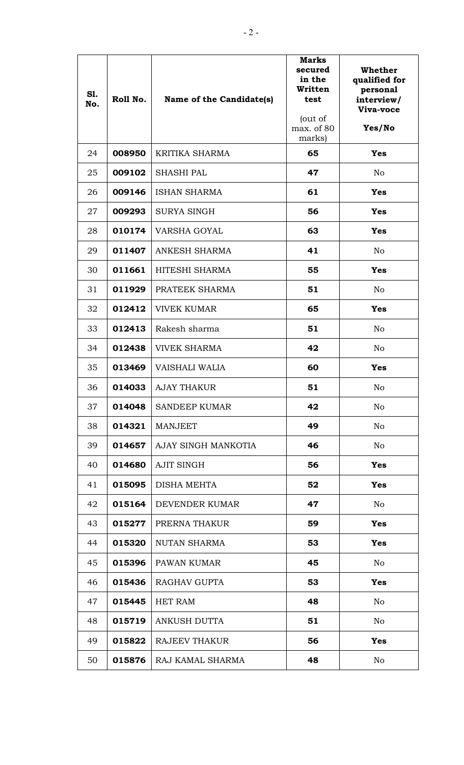| S1.<br>No. | Roll No. | Name of the Candidate(s) | Marks<br>secured<br>in the<br>Written<br>test<br>(out of<br>max. of 80<br>marks) | Whether<br>qualified for<br>personal<br>interview/<br>Viva-voce<br>Yes/No |
|------------|----------|--------------------------|----------------------------------------------------------------------------------|---------------------------------------------------------------------------|
| 24         | 008950   | <b>KRITIKA SHARMA</b>    | 65                                                                               | <b>Yes</b>                                                                |
| 25         | 009102   | <b>SHASHI PAL</b>        | 47                                                                               | N <sub>o</sub>                                                            |
| 26         | 009146   | <b>ISHAN SHARMA</b>      | 61                                                                               | <b>Yes</b>                                                                |
| 27         | 009293   | <b>SURYA SINGH</b>       | 56                                                                               | <b>Yes</b>                                                                |
| 28         | 010174   | <b>VARSHA GOYAL</b>      | 63                                                                               | <b>Yes</b>                                                                |
| 29         | 011407   | <b>ANKESH SHARMA</b>     | 41                                                                               | N <sub>o</sub>                                                            |
| 30         | 011661   | HITESHI SHARMA           | 55                                                                               | <b>Yes</b>                                                                |
| 31         | 011929   | PRATEEK SHARMA           | 51                                                                               | N <sub>o</sub>                                                            |
| 32         | 012412   | <b>VIVEK KUMAR</b>       | 65                                                                               | <b>Yes</b>                                                                |
| 33         | 012413   | Rakesh sharma            | 51                                                                               | N <sub>o</sub>                                                            |
| 34         | 012438   | <b>VIVEK SHARMA</b>      | 42                                                                               | N <sub>o</sub>                                                            |
| 35         | 013469   | VAISHALI WALIA           | 60                                                                               | <b>Yes</b>                                                                |
| 36         | 014033   | <b>AJAY THAKUR</b>       | 51                                                                               | N <sub>o</sub>                                                            |
| 37         | 014048   | <b>SANDEEP KUMAR</b>     | 42                                                                               | N <sub>o</sub>                                                            |
| 38         | 014321   | <b>MANJEET</b>           | 49                                                                               | N <sub>o</sub>                                                            |
| 39         | 014657   | AJAY SINGH MANKOTIA      | 46                                                                               | No                                                                        |
| 40         | 014680   | <b>AJIT SINGH</b>        | 56                                                                               | <b>Yes</b>                                                                |
| 41         | 015095   | DISHA MEHTA              | 52                                                                               | <b>Yes</b>                                                                |
| 42         | 015164   | DEVENDER KUMAR           | 47                                                                               | N <sub>o</sub>                                                            |
| 43         | 015277   | PRERNA THAKUR            | 59                                                                               | <b>Yes</b>                                                                |
| 44         | 015320   | NUTAN SHARMA             | 53                                                                               | <b>Yes</b>                                                                |
| 45         | 015396   | PAWAN KUMAR              | 45                                                                               | N <sub>o</sub>                                                            |
| 46         | 015436   | RAGHAV GUPTA             | 53                                                                               | <b>Yes</b>                                                                |
| 47         | 015445   | <b>HET RAM</b>           | 48                                                                               | No                                                                        |
| 48         | 015719   | ANKUSH DUTTA             | 51                                                                               | No                                                                        |
| 49         | 015822   | <b>RAJEEV THAKUR</b>     | 56                                                                               | <b>Yes</b>                                                                |
| 50         | 015876   | RAJ KAMAL SHARMA         | 48                                                                               | No                                                                        |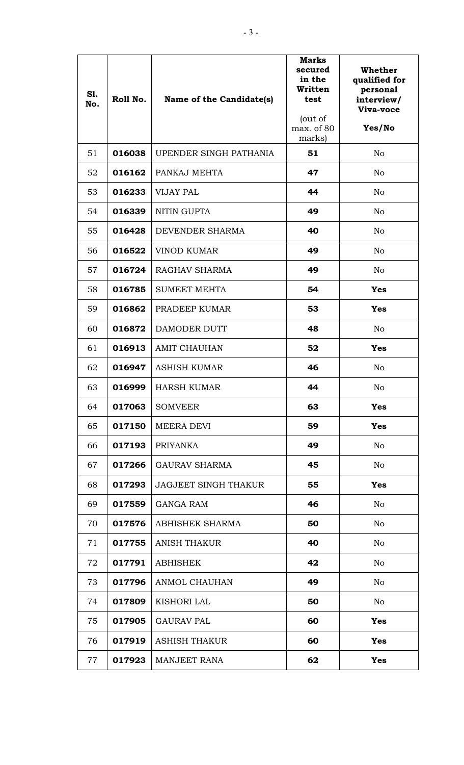| <b>S1.</b><br>No. | Roll No. | Name of the Candidate(s)    | <b>Marks</b><br>secured<br>in the<br>Written<br>test<br>(out of<br>max. of 80<br>marks) | <b>Whether</b><br>qualified for<br>personal<br>interview/<br>Viva-voce<br>Yes/No |
|-------------------|----------|-----------------------------|-----------------------------------------------------------------------------------------|----------------------------------------------------------------------------------|
| 51                | 016038   | UPENDER SINGH PATHANIA      | 51                                                                                      | N <sub>o</sub>                                                                   |
| 52                | 016162   | PANKAJ MEHTA                | 47                                                                                      | N <sub>o</sub>                                                                   |
| 53                | 016233   | <b>VIJAY PAL</b>            | 44                                                                                      | No                                                                               |
| 54                | 016339   | NITIN GUPTA                 | 49                                                                                      | No                                                                               |
| 55                | 016428   | DEVENDER SHARMA             | 40                                                                                      | No                                                                               |
| 56                | 016522   | <b>VINOD KUMAR</b>          | 49                                                                                      | No                                                                               |
| 57                | 016724   | RAGHAV SHARMA               | 49                                                                                      | N <sub>o</sub>                                                                   |
| 58                | 016785   | <b>SUMEET MEHTA</b>         | 54                                                                                      | <b>Yes</b>                                                                       |
| 59                | 016862   | PRADEEP KUMAR               | 53                                                                                      | <b>Yes</b>                                                                       |
| 60                | 016872   | DAMODER DUTT                | 48                                                                                      | No                                                                               |
| 61                | 016913   | <b>AMIT CHAUHAN</b>         | 52                                                                                      | <b>Yes</b>                                                                       |
| 62                | 016947   | <b>ASHISH KUMAR</b>         | 46                                                                                      | No                                                                               |
| 63                | 016999   | <b>HARSH KUMAR</b>          | 44                                                                                      | No                                                                               |
| 64                | 017063   | <b>SOMVEER</b>              | 63                                                                                      | <b>Yes</b>                                                                       |
| 65                | 017150   | <b>MEERA DEVI</b>           | 59                                                                                      | <b>Yes</b>                                                                       |
| 66                | 017193   | <b>PRIYANKA</b>             | 49                                                                                      | N <sub>o</sub>                                                                   |
| 67                | 017266   | <b>GAURAV SHARMA</b>        | 45                                                                                      | No                                                                               |
| 68                | 017293   | <b>JAGJEET SINGH THAKUR</b> | 55                                                                                      | <b>Yes</b>                                                                       |
| 69                | 017559   | <b>GANGA RAM</b>            | 46                                                                                      | No                                                                               |
| 70                | 017576   | ABHISHEK SHARMA             | 50                                                                                      | No                                                                               |
| 71                | 017755   | <b>ANISH THAKUR</b>         | 40                                                                                      | No                                                                               |
| 72                | 017791   | <b>ABHISHEK</b>             | 42                                                                                      | No                                                                               |
| 73                | 017796   | <b>ANMOL CHAUHAN</b>        | 49                                                                                      | No                                                                               |
| 74                | 017809   | <b>KISHORI LAL</b>          | 50                                                                                      | No                                                                               |
| 75                | 017905   | <b>GAURAV PAL</b>           | 60                                                                                      | <b>Yes</b>                                                                       |
| 76                | 017919   | <b>ASHISH THAKUR</b>        | 60                                                                                      | <b>Yes</b>                                                                       |
| 77                | 017923   | <b>MANJEET RANA</b>         | 62                                                                                      | <b>Yes</b>                                                                       |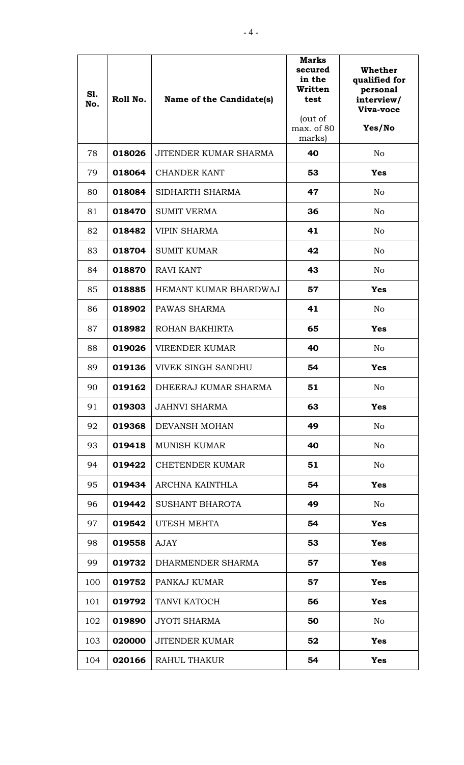| <b>S1.</b><br>No. | Roll No. | Name of the Candidate(s)  | <b>Marks</b><br>secured<br>in the<br>Written<br>test<br>(out of<br>max. of 80<br>marks) | <b>Whether</b><br>qualified for<br>personal<br>interview/<br>Viva-voce<br>Yes/No |
|-------------------|----------|---------------------------|-----------------------------------------------------------------------------------------|----------------------------------------------------------------------------------|
| 78                | 018026   | JITENDER KUMAR SHARMA     | 40                                                                                      | N <sub>o</sub>                                                                   |
| 79                | 018064   | <b>CHANDER KANT</b>       | 53                                                                                      | Yes                                                                              |
| 80                | 018084   | SIDHARTH SHARMA           | 47                                                                                      | N <sub>o</sub>                                                                   |
| 81                | 018470   | <b>SUMIT VERMA</b>        | 36                                                                                      | N <sub>o</sub>                                                                   |
| 82                | 018482   | <b>VIPIN SHARMA</b>       | 41                                                                                      | N <sub>o</sub>                                                                   |
| 83                | 018704   | <b>SUMIT KUMAR</b>        | 42                                                                                      | N <sub>o</sub>                                                                   |
| 84                | 018870   | <b>RAVI KANT</b>          | 43                                                                                      | N <sub>o</sub>                                                                   |
| 85                | 018885   | HEMANT KUMAR BHARDWAJ     | 57                                                                                      | <b>Yes</b>                                                                       |
| 86                | 018902   | PAWAS SHARMA              | 41                                                                                      | N <sub>o</sub>                                                                   |
| 87                | 018982   | ROHAN BAKHIRTA            | 65                                                                                      | <b>Yes</b>                                                                       |
| 88                | 019026   | <b>VIRENDER KUMAR</b>     | 40                                                                                      | N <sub>o</sub>                                                                   |
| 89                | 019136   | <b>VIVEK SINGH SANDHU</b> | 54                                                                                      | <b>Yes</b>                                                                       |
| 90                | 019162   | DHEERAJ KUMAR SHARMA      | 51                                                                                      | No                                                                               |
| 91                | 019303   | <b>JAHNVI SHARMA</b>      | 63                                                                                      | <b>Yes</b>                                                                       |
| 92                | 019368   | DEVANSH MOHAN             | 49                                                                                      | N <sub>o</sub>                                                                   |
| 93                | 019418   | <b>MUNISH KUMAR</b>       | 40                                                                                      | N <sub>o</sub>                                                                   |
| 94                | 019422   | <b>CHETENDER KUMAR</b>    | 51                                                                                      | No                                                                               |
| 95                | 019434   | ARCHNA KAINTHLA           | 54                                                                                      | <b>Yes</b>                                                                       |
| 96                | 019442   | <b>SUSHANT BHAROTA</b>    | 49                                                                                      | N <sub>o</sub>                                                                   |
| 97                | 019542   | UTESH MEHTA               | 54                                                                                      | <b>Yes</b>                                                                       |
| 98                | 019558   | <b>AJAY</b>               | 53                                                                                      | <b>Yes</b>                                                                       |
| 99                | 019732   | DHARMENDER SHARMA         | 57                                                                                      | <b>Yes</b>                                                                       |
| 100               | 019752   | PANKAJ KUMAR              | 57                                                                                      | <b>Yes</b>                                                                       |
| 101               | 019792   | TANVI KATOCH              | 56                                                                                      | <b>Yes</b>                                                                       |
| 102               | 019890   | <b>JYOTI SHARMA</b>       | 50                                                                                      | N <sub>o</sub>                                                                   |
| 103               | 020000   | <b>JITENDER KUMAR</b>     | 52                                                                                      | <b>Yes</b>                                                                       |
| 104               | 020166   | <b>RAHUL THAKUR</b>       | 54                                                                                      | <b>Yes</b>                                                                       |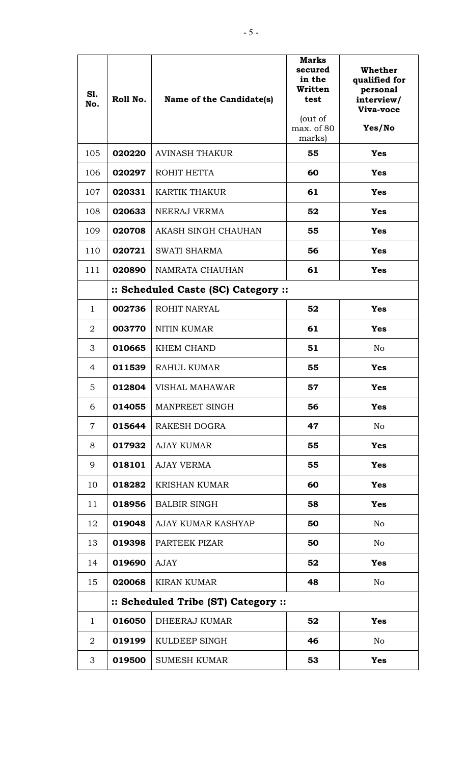| <b>S1.</b><br>No. | Roll No.                            | Name of the Candidate(s)            | <b>Marks</b><br>secured<br>in the<br>Written<br>test<br>(out of<br>max. of 80<br>marks) | Whether<br>qualified for<br>personal<br>interview/<br>Viva-voce<br>Yes/No |  |
|-------------------|-------------------------------------|-------------------------------------|-----------------------------------------------------------------------------------------|---------------------------------------------------------------------------|--|
| 105               | 020220                              | <b>AVINASH THAKUR</b>               | 55                                                                                      | <b>Yes</b>                                                                |  |
| 106               | 020297                              | ROHIT HETTA                         | 60                                                                                      | <b>Yes</b>                                                                |  |
| 107               | 020331                              | <b>KARTIK THAKUR</b>                | 61                                                                                      | <b>Yes</b>                                                                |  |
| 108               | 020633                              | NEERAJ VERMA                        | 52                                                                                      | <b>Yes</b>                                                                |  |
| 109               | 020708                              | AKASH SINGH CHAUHAN                 | 55                                                                                      | <b>Yes</b>                                                                |  |
| 110               | 020721                              | <b>SWATI SHARMA</b>                 | 56                                                                                      | <b>Yes</b>                                                                |  |
| 111               | 020890                              | NAMRATA CHAUHAN                     | 61                                                                                      | <b>Yes</b>                                                                |  |
|                   |                                     | :: Scheduled Caste (SC) Category :: |                                                                                         |                                                                           |  |
| 1                 | 002736                              | ROHIT NARYAL                        | 52                                                                                      | <b>Yes</b>                                                                |  |
| $\overline{2}$    | 003770                              | <b>NITIN KUMAR</b>                  | 61                                                                                      | <b>Yes</b>                                                                |  |
| 3                 | 010665                              | <b>KHEM CHAND</b>                   | 51                                                                                      | N <sub>o</sub>                                                            |  |
| 4                 | 011539                              | RAHUL KUMAR                         | 55                                                                                      | <b>Yes</b>                                                                |  |
| 5                 | 012804                              | <b>VISHAL MAHAWAR</b>               | 57                                                                                      | <b>Yes</b>                                                                |  |
| 6                 | 014055                              | MANPREET SINGH                      | 56                                                                                      | <b>Yes</b>                                                                |  |
| $\overline{7}$    | 015644                              | RAKESH DOGRA                        | 47                                                                                      | N <sub>o</sub>                                                            |  |
| 8                 | 017932                              | <b>AJAY KUMAR</b>                   | 55                                                                                      | <b>Yes</b>                                                                |  |
| 9                 | 018101                              | <b>AJAY VERMA</b>                   | 55                                                                                      | <b>Yes</b>                                                                |  |
| 10                | 018282                              | <b>KRISHAN KUMAR</b>                | 60                                                                                      | <b>Yes</b>                                                                |  |
| 11                | 018956                              | <b>BALBIR SINGH</b>                 | 58                                                                                      | <b>Yes</b>                                                                |  |
| 12                | 019048                              | AJAY KUMAR KASHYAP                  | 50                                                                                      | No                                                                        |  |
| 13                | 019398                              | PARTEEK PIZAR                       | 50                                                                                      | N <sub>o</sub>                                                            |  |
| 14                | 019690                              | <b>AJAY</b>                         | 52                                                                                      | <b>Yes</b>                                                                |  |
| 15                | 020068                              | <b>KIRAN KUMAR</b>                  | 48                                                                                      | No                                                                        |  |
|                   | :: Scheduled Tribe (ST) Category :: |                                     |                                                                                         |                                                                           |  |
| $\mathbf 1$       | 016050                              | DHEERAJ KUMAR                       | 52                                                                                      | <b>Yes</b>                                                                |  |
| 2                 | 019199                              | KULDEEP SINGH                       | 46                                                                                      | No                                                                        |  |
| 3                 | 019500                              | <b>SUMESH KUMAR</b>                 | 53                                                                                      | <b>Yes</b>                                                                |  |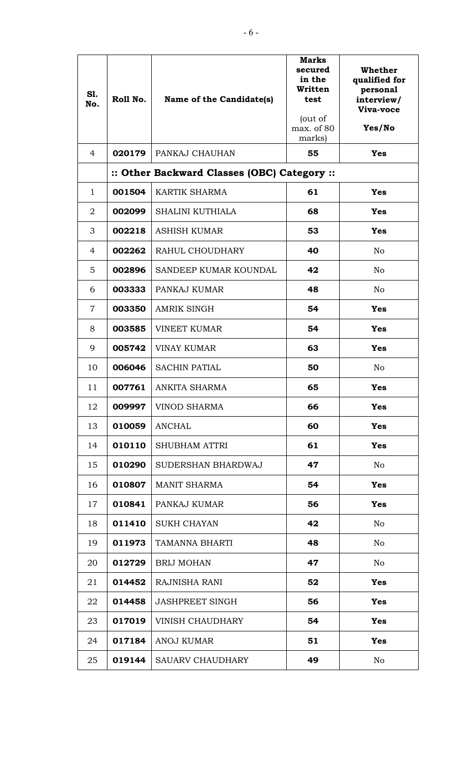| S1.<br>No.     | Roll No. | Name of the Candidate(s)                    | <b>Marks</b><br>secured<br>in the<br>Written<br>test<br>(out of<br>max. of 80<br>marks) | Whether<br>qualified for<br>personal<br>interview/<br>Viva-voce<br>Yes/No |
|----------------|----------|---------------------------------------------|-----------------------------------------------------------------------------------------|---------------------------------------------------------------------------|
| 4              | 020179   | PANKAJ CHAUHAN                              | 55                                                                                      | <b>Yes</b>                                                                |
|                |          | :: Other Backward Classes (OBC) Category :: |                                                                                         |                                                                           |
| $\mathbf{1}$   | 001504   | <b>KARTIK SHARMA</b>                        | 61                                                                                      | <b>Yes</b>                                                                |
| $\overline{2}$ | 002099   | <b>SHALINI KUTHIALA</b>                     | 68                                                                                      | <b>Yes</b>                                                                |
| 3              | 002218   | <b>ASHISH KUMAR</b>                         | 53                                                                                      | <b>Yes</b>                                                                |
| $\overline{4}$ | 002262   | RAHUL CHOUDHARY                             | 40                                                                                      | N <sub>o</sub>                                                            |
| 5              | 002896   | SANDEEP KUMAR KOUNDAL                       | 42                                                                                      | N <sub>o</sub>                                                            |
| 6              | 003333   | PANKAJ KUMAR                                | 48                                                                                      | N <sub>o</sub>                                                            |
| $\overline{7}$ | 003350   | <b>AMRIK SINGH</b>                          | 54                                                                                      | <b>Yes</b>                                                                |
| 8              | 003585   | <b>VINEET KUMAR</b>                         | 54                                                                                      | <b>Yes</b>                                                                |
| 9              | 005742   | <b>VINAY KUMAR</b>                          | 63                                                                                      | <b>Yes</b>                                                                |
| 10             | 006046   | <b>SACHIN PATIAL</b>                        | 50                                                                                      | No                                                                        |
| 11             | 007761   | ANKITA SHARMA                               | 65                                                                                      | <b>Yes</b>                                                                |
| 12             | 009997   | VINOD SHARMA                                | 66                                                                                      | <b>Yes</b>                                                                |
| 13             | 010059   | <b>ANCHAL</b>                               | 60                                                                                      | <b>Yes</b>                                                                |
| 14             | 010110   | <b>SHUBHAM ATTRI</b>                        | 61                                                                                      | <b>Yes</b>                                                                |
| 15             | 010290   | SUDERSHAN BHARDWAJ                          | 47                                                                                      | N <sub>o</sub>                                                            |
| 16             | 010807   | <b>MANIT SHARMA</b>                         | 54                                                                                      | <b>Yes</b>                                                                |
| 17             | 010841   | PANKAJ KUMAR                                | 56                                                                                      | <b>Yes</b>                                                                |
| 18             | 011410   | <b>SUKH CHAYAN</b>                          | 42                                                                                      | N <sub>o</sub>                                                            |
| 19             | 011973   | TAMANNA BHARTI                              | 48                                                                                      | N <sub>o</sub>                                                            |
| 20             | 012729   | <b>BRIJ MOHAN</b>                           | 47                                                                                      | N <sub>o</sub>                                                            |
| 21             | 014452   | RAJNISHA RANI                               | 52                                                                                      | <b>Yes</b>                                                                |
| 22             | 014458   | <b>JASHPREET SINGH</b>                      | 56                                                                                      | <b>Yes</b>                                                                |
| 23             | 017019   | <b>VINISH CHAUDHARY</b>                     | 54                                                                                      | <b>Yes</b>                                                                |
| 24             | 017184   | <b>ANOJ KUMAR</b>                           | 51                                                                                      | <b>Yes</b>                                                                |
| 25             | 019144   | <b>SAUARV CHAUDHARY</b>                     | 49                                                                                      | N <sub>o</sub>                                                            |